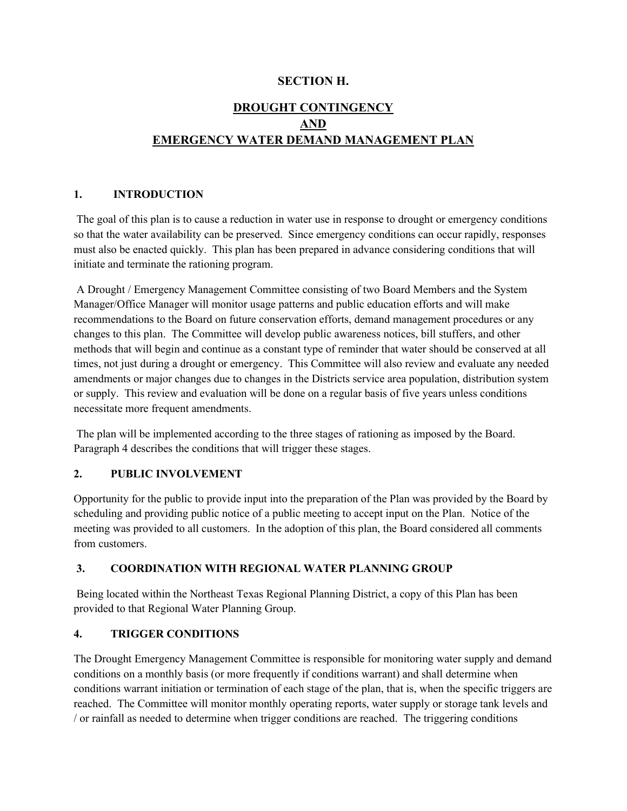# **SECTION H.**

# **DROUGHT CONTINGENCY AND EMERGENCY WATER DEMAND MANAGEMENT PLAN**

# **1. INTRODUCTION**

The goal of this plan is to cause a reduction in water use in response to drought or emergency conditions so that the water availability can be preserved. Since emergency conditions can occur rapidly, responses must also be enacted quickly. This plan has been prepared in advance considering conditions that will initiate and terminate the rationing program.

A Drought / Emergency Management Committee consisting of two Board Members and the System Manager/Office Manager will monitor usage patterns and public education efforts and will make recommendations to the Board on future conservation efforts, demand management procedures or any changes to this plan. The Committee will develop public awareness notices, bill stuffers, and other methods that will begin and continue as a constant type of reminder that water should be conserved at all times, not just during a drought or emergency. This Committee will also review and evaluate any needed amendments or major changes due to changes in the Districts service area population, distribution system or supply. This review and evaluation will be done on a regular basis of five years unless conditions necessitate more frequent amendments.

The plan will be implemented according to the three stages of rationing as imposed by the Board. Paragraph 4 describes the conditions that will trigger these stages.

# **2. PUBLIC INVOLVEMENT**

Opportunity for the public to provide input into the preparation of the Plan was provided by the Board by scheduling and providing public notice of a public meeting to accept input on the Plan. Notice of the meeting was provided to all customers. In the adoption of this plan, the Board considered all comments from customers.

# **3. COORDINATION WITH REGIONAL WATER PLANNING GROUP**

Being located within the Northeast Texas Regional Planning District, a copy of this Plan has been provided to that Regional Water Planning Group.

# **4. TRIGGER CONDITIONS**

The Drought Emergency Management Committee is responsible for monitoring water supply and demand conditions on a monthly basis (or more frequently if conditions warrant) and shall determine when conditions warrant initiation or termination of each stage of the plan, that is, when the specific triggers are reached. The Committee will monitor monthly operating reports, water supply or storage tank levels and / or rainfall as needed to determine when trigger conditions are reached. The triggering conditions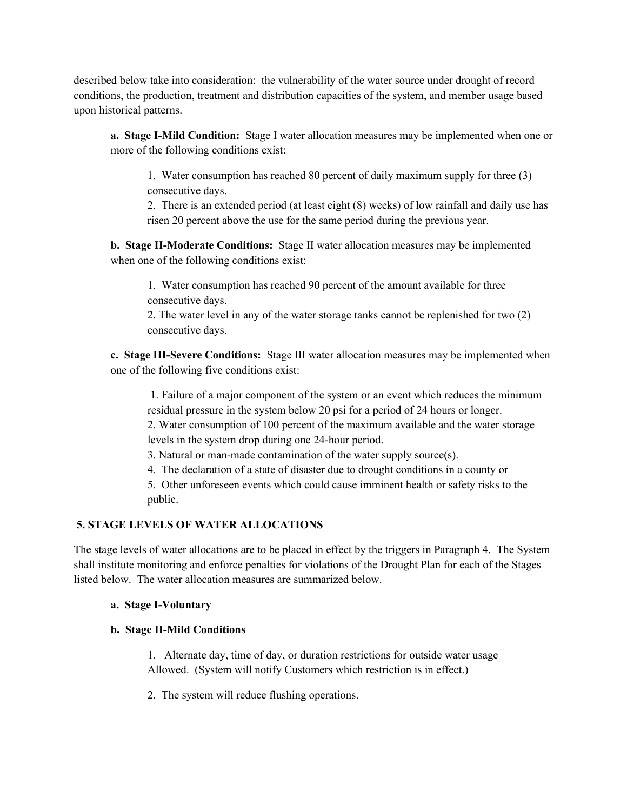described below take into consideration: the vulnerability of the water source under drought of record conditions, the production, treatment and distribution capacities of the system, and member usage based upon historical patterns.

**a. Stage I-Mild Condition:** Stage I water allocation measures may be implemented when one or more of the following conditions exist:

1. Water consumption has reached 80 percent of daily maximum supply for three (3) consecutive days.

2. There is an extended period (at least eight (8) weeks) of low rainfall and daily use has risen 20 percent above the use for the same period during the previous year.

**b. Stage II-Moderate Conditions:** Stage II water allocation measures may be implemented when one of the following conditions exist:

1. Water consumption has reached 90 percent of the amount available for three consecutive days.

2. The water level in any of the water storage tanks cannot be replenished for two (2) consecutive days.

**c. Stage III-Severe Conditions:** Stage III water allocation measures may be implemented when one of the following five conditions exist:

1. Failure of a major component of the system or an event which reduces the minimum residual pressure in the system below 20 psi for a period of 24 hours or longer.

2. Water consumption of 100 percent of the maximum available and the water storage levels in the system drop during one 24-hour period.

3. Natural or man-made contamination of the water supply source(s).

4. The declaration of a state of disaster due to drought conditions in a county or

5. Other unforeseen events which could cause imminent health or safety risks to the public.

# **5. STAGE LEVELS OF WATER ALLOCATIONS**

The stage levels of water allocations are to be placed in effect by the triggers in Paragraph 4. The System shall institute monitoring and enforce penalties for violations of the Drought Plan for each of the Stages listed below. The water allocation measures are summarized below.

# **a. Stage I-Voluntary**

# **b. Stage II-Mild Conditions**

 1. Alternate day, time of day, or duration restrictions for outside water usage Allowed. (System will notify Customers which restriction is in effect.)

2. The system will reduce flushing operations.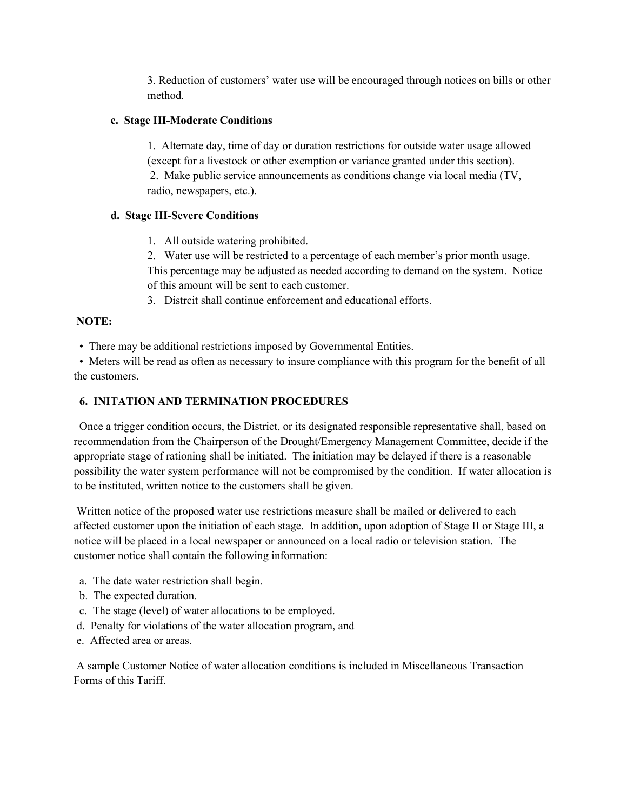3. Reduction of customers' water use will be encouraged through notices on bills or other method.

#### **c. Stage III-Moderate Conditions**

 1. Alternate day, time of day or duration restrictions for outside water usage allowed (except for a livestock or other exemption or variance granted under this section). 2. Make public service announcements as conditions change via local media (TV, radio, newspapers, etc.).

# **d. Stage III-Severe Conditions**

1. All outside watering prohibited.

2. Water use will be restricted to a percentage of each member's prior month usage. This percentage may be adjusted as needed according to demand on the system. Notice of this amount will be sent to each customer.

3. Distrcit shall continue enforcement and educational efforts.

# **NOTE:**

• There may be additional restrictions imposed by Governmental Entities.

• Meters will be read as often as necessary to insure compliance with this program for the benefit of all the customers.

# **6. INITATION AND TERMINATION PROCEDURES**

 Once a trigger condition occurs, the District, or its designated responsible representative shall, based on recommendation from the Chairperson of the Drought/Emergency Management Committee, decide if the appropriate stage of rationing shall be initiated. The initiation may be delayed if there is a reasonable possibility the water system performance will not be compromised by the condition. If water allocation is to be instituted, written notice to the customers shall be given.

Written notice of the proposed water use restrictions measure shall be mailed or delivered to each affected customer upon the initiation of each stage. In addition, upon adoption of Stage II or Stage III, a notice will be placed in a local newspaper or announced on a local radio or television station. The customer notice shall contain the following information:

- a. The date water restriction shall begin.
- b. The expected duration.
- c. The stage (level) of water allocations to be employed.
- d. Penalty for violations of the water allocation program, and
- e. Affected area or areas.

A sample Customer Notice of water allocation conditions is included in Miscellaneous Transaction Forms of this Tariff.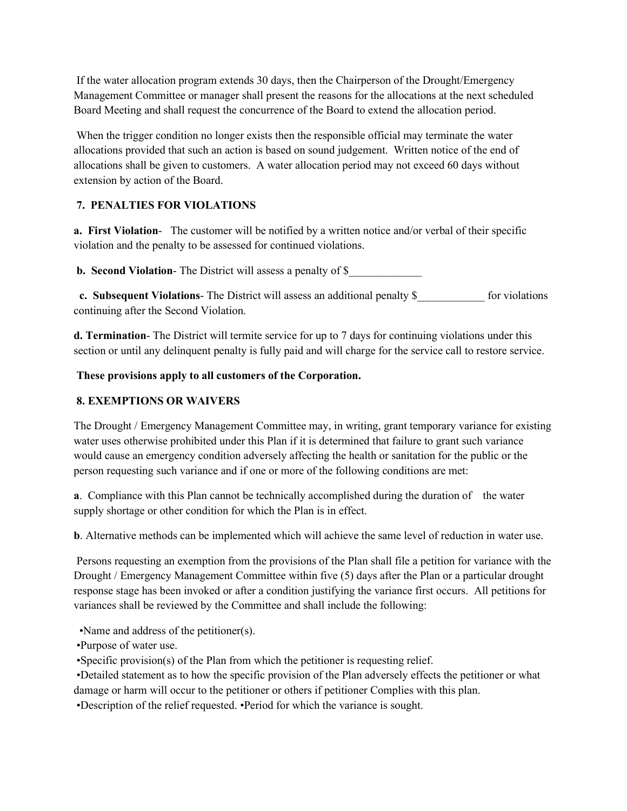If the water allocation program extends 30 days, then the Chairperson of the Drought/Emergency Management Committee or manager shall present the reasons for the allocations at the next scheduled Board Meeting and shall request the concurrence of the Board to extend the allocation period.

When the trigger condition no longer exists then the responsible official may terminate the water allocations provided that such an action is based on sound judgement. Written notice of the end of allocations shall be given to customers. A water allocation period may not exceed 60 days without extension by action of the Board.

# **7. PENALTIES FOR VIOLATIONS**

**a. First Violation**- The customer will be notified by a written notice and/or verbal of their specific violation and the penalty to be assessed for continued violations.

**b. Second Violation-** The District will assess a penalty of \$

**c. Subsequent Violations-** The District will assess an additional penalty \$ for violations continuing after the Second Violation.

**d. Termination**- The District will termite service for up to 7 days for continuing violations under this section or until any delinquent penalty is fully paid and will charge for the service call to restore service.

# **These provisions apply to all customers of the Corporation.**

# **8. EXEMPTIONS OR WAIVERS**

The Drought / Emergency Management Committee may, in writing, grant temporary variance for existing water uses otherwise prohibited under this Plan if it is determined that failure to grant such variance would cause an emergency condition adversely affecting the health or sanitation for the public or the person requesting such variance and if one or more of the following conditions are met:

**a**. Compliance with this Plan cannot be technically accomplished during the duration of the water supply shortage or other condition for which the Plan is in effect.

**b**. Alternative methods can be implemented which will achieve the same level of reduction in water use.

Persons requesting an exemption from the provisions of the Plan shall file a petition for variance with the Drought / Emergency Management Committee within five (5) days after the Plan or a particular drought response stage has been invoked or after a condition justifying the variance first occurs. All petitions for variances shall be reviewed by the Committee and shall include the following:

•Name and address of the petitioner(s).

•Purpose of water use.

•Specific provision(s) of the Plan from which the petitioner is requesting relief.

•Detailed statement as to how the specific provision of the Plan adversely effects the petitioner or what damage or harm will occur to the petitioner or others if petitioner Complies with this plan.

•Description of the relief requested. •Period for which the variance is sought.